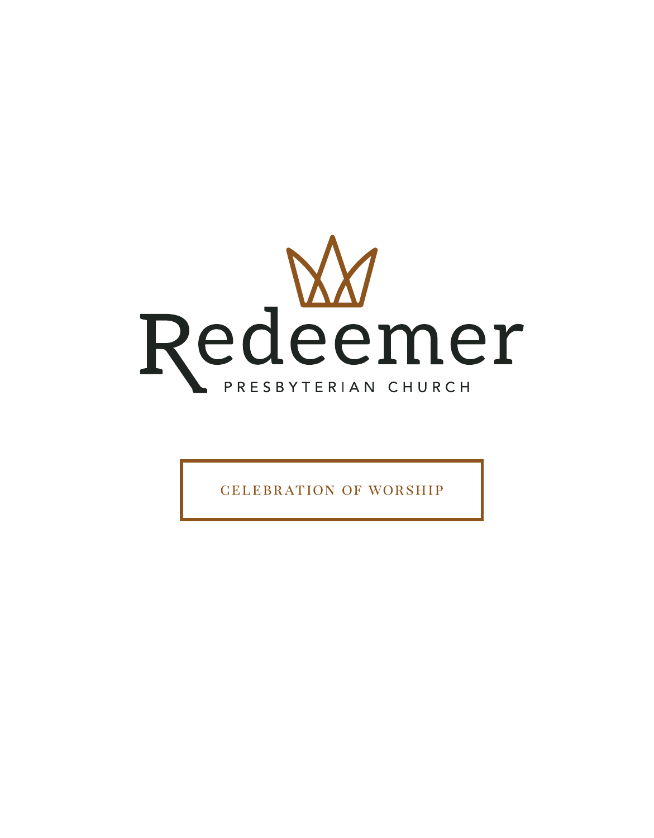

**CELEBRATION OF WORSHIP**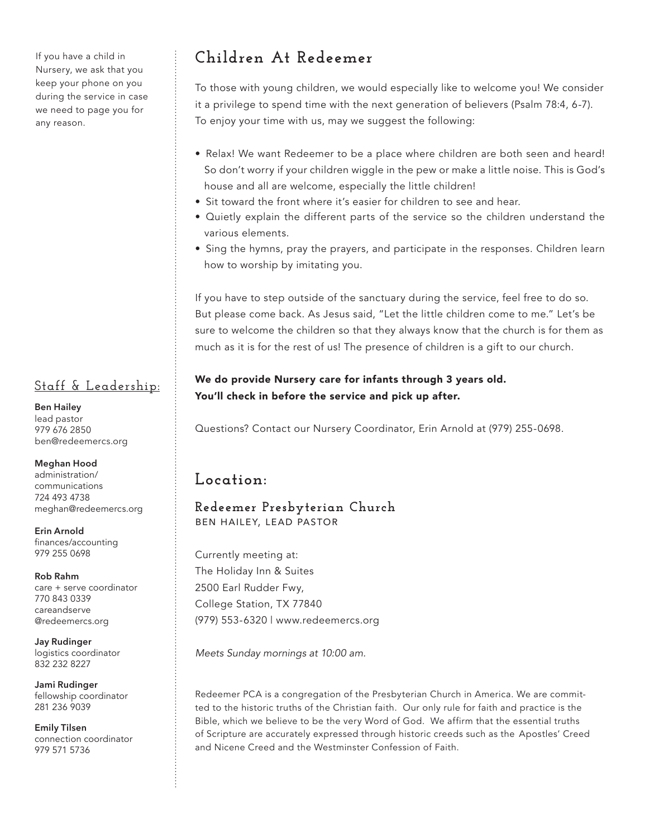If you have a child in Nursery, we ask that you keep your phone on you during the service in case we need to page you for any reason.

### **Staff & Leadership:**

**Ben Hailey** lead pastor 979 676 2850 ben@redeemercs.org

#### **Meghan Hood**

administration/ communications 724 493 4738 meghan@redeemercs.org

**Erin Arnold** finances/accounting 979 255 0698

**Rob Rahm** care + serve coordinator 770 843 0339 careandserve @redeemercs.org

**Jay Rudinger** logistics coordinator 832 232 8227

**Jami Rudinger** fellowship coordinator 281 236 9039

**Emily Tilsen** connection coordinator 979 571 5736

# **Children At Redeemer**

To those with young children, we would especially like to welcome you! We consider it a privilege to spend time with the next generation of believers (Psalm 78:4, 6-7). To enjoy your time with us, may we suggest the following:

- Relax! We want Redeemer to be a place where children are both seen and heard! So don't worry if your children wiggle in the pew or make a little noise. This is God's house and all are welcome, especially the little children!
- Sit toward the front where it's easier for children to see and hear.
- Quietly explain the different parts of the service so the children understand the various elements.
- Sing the hymns, pray the prayers, and participate in the responses. Children learn how to worship by imitating you.

If you have to step outside of the sanctuary during the service, feel free to do so. But please come back. As Jesus said, "Let the little children come to me." Let's be sure to welcome the children so that they always know that the church is for them as much as it is for the rest of us! The presence of children is a gift to our church.

### We do provide Nursery care for infants through 3 years old. You'll check in before the service and pick up after.

Questions? Contact our Nursery Coordinator, Erin Arnold at (979) 255-0698.

## **Location:**

### **Redeemer Presbyterian Church** ben hailey, lead pastor

Currently meeting at: The Holiday Inn & Suites 2500 Earl Rudder Fwy, College Station, TX 77840 (979) 553-6320 | www.redeemercs.org

*Meets Sunday mornings at 10:00 am.*

Redeemer PCA is a congregation of the Presbyterian Church in America. We are committed to the historic truths of the Christian faith. Our only rule for faith and practice is the Bible, which we believe to be the very Word of God. We affirm that the essential truths of Scripture are accurately expressed through historic creeds such as the Apostles' Creed and Nicene Creed and the Westminster Confession of Faith.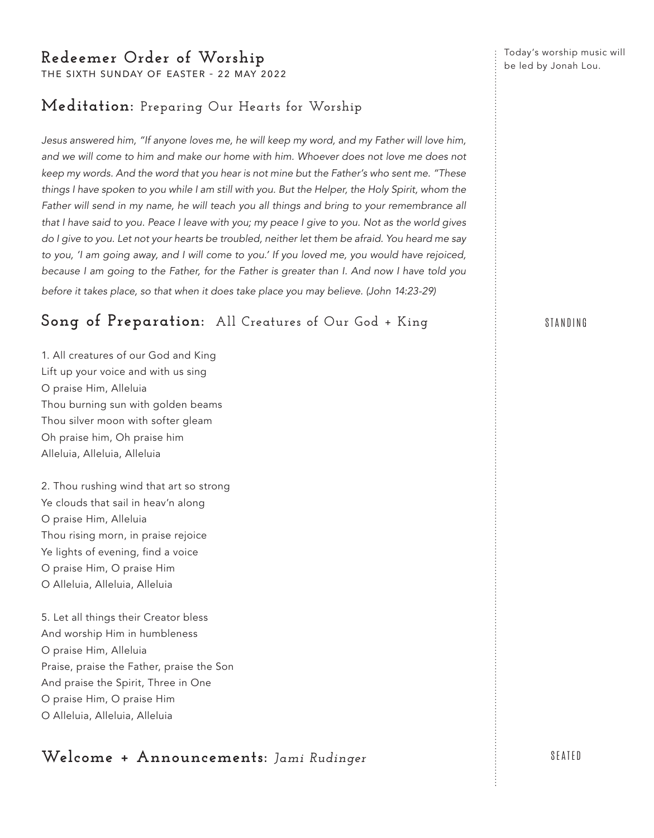# **Redeemer Order of Worship**

the sixth sunday of easter - 22 may 2022

## **Meditation: Preparing Our Hearts for Worship**

*Jesus answered him, "If anyone loves me, he will keep my word, and my Father will love him,*  and we will come to him and make our home with him. Whoever does not love me does not *keep my words. And the word that you hear is not mine but the Father's who sent me. "These things I have spoken to you while I am still with you. But the Helper, the Holy Spirit, whom the*  Father will send in my name, he will teach you all things and bring to your remembrance all *that I have said to you. Peace I leave with you; my peace I give to you. Not as the world gives do I give to you. Let not your hearts be troubled, neither let them be afraid. You heard me say*  to you, 'I am going away, and I will come to you.' If you loved me, you would have rejoiced, *because I am going to the Father, for the Father is greater than I. And now I have told you before it takes place, so that when it does take place you may believe. (John 14:23-29)*

## **Song of Preparation: All Creatures of Our God + King**

1. All creatures of our God and King Lift up your voice and with us sing O praise Him, Alleluia Thou burning sun with golden beams Thou silver moon with softer gleam Oh praise him, Oh praise him Alleluia, Alleluia, Alleluia

2. Thou rushing wind that art so strong Ye clouds that sail in heav'n along O praise Him, Alleluia Thou rising morn, in praise rejoice Ye lights of evening, find a voice O praise Him, O praise Him O Alleluia, Alleluia, Alleluia

5. Let all things their Creator bless And worship Him in humbleness O praise Him, Alleluia Praise, praise the Father, praise the Son And praise the Spirit, Three in One O praise Him, O praise Him O Alleluia, Alleluia, Alleluia

## **Welcome + Announcements:** *Jami Rudinger*

S T A N D I N G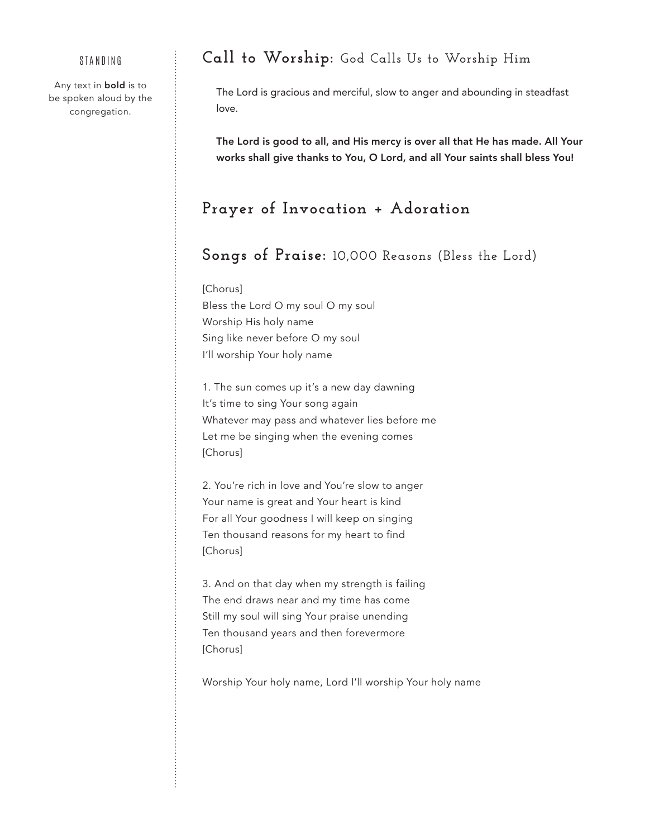#### STANDING

Any text in bold is to be spoken aloud by the congregation.

## **Call to Worship: God Calls Us to Worship Him**

The Lord is gracious and merciful, slow to anger and abounding in steadfast love.

The Lord is good to all, and His mercy is over all that He has made. All Your works shall give thanks to You, O Lord, and all Your saints shall bless You!

## **Prayer of Invocation + Adoration**

### **Songs of Praise: 10,000 Reasons (Bless the Lord)**

[Chorus] Bless the Lord O my soul O my soul Worship His holy name Sing like never before O my soul I'll worship Your holy name

1. The sun comes up it's a new day dawning It's time to sing Your song again Whatever may pass and whatever lies before me Let me be singing when the evening comes [Chorus]

2. You're rich in love and You're slow to anger Your name is great and Your heart is kind For all Your goodness I will keep on singing Ten thousand reasons for my heart to find [Chorus]

3. And on that day when my strength is failing The end draws near and my time has come Still my soul will sing Your praise unending Ten thousand years and then forevermore [Chorus]

Worship Your holy name, Lord I'll worship Your holy name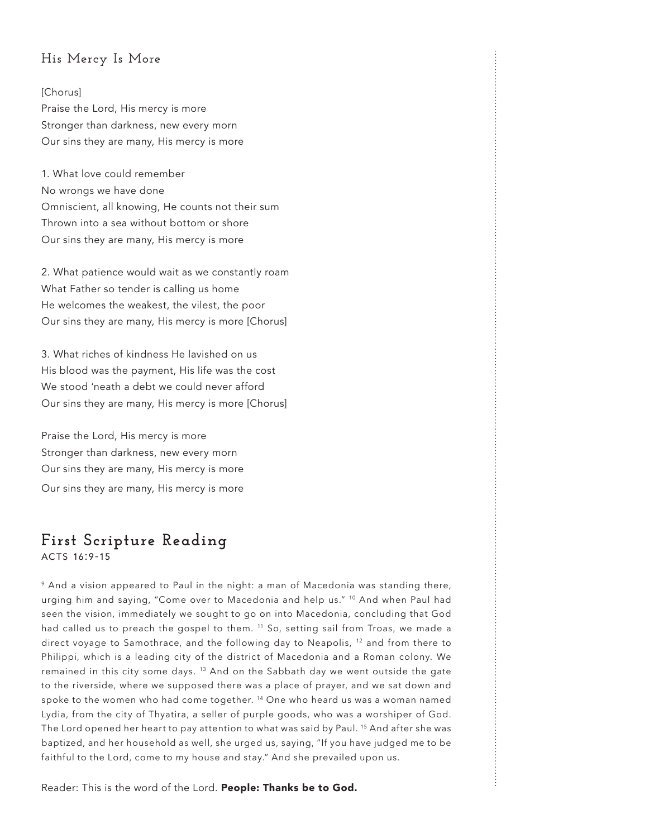## **His Mercy Is More**

[Chorus]

Praise the Lord, His mercy is more Stronger than darkness, new every morn Our sins they are many, His mercy is more

1. What love could remember No wrongs we have done Omniscient, all knowing, He counts not their sum Thrown into a sea without bottom or shore Our sins they are many, His mercy is more

2. What patience would wait as we constantly roam What Father so tender is calling us home He welcomes the weakest, the vilest, the poor Our sins they are many, His mercy is more [Chorus]

3. What riches of kindness He lavished on us His blood was the payment, His life was the cost We stood 'neath a debt we could never afford Our sins they are many, His mercy is more [Chorus]

Praise the Lord, His mercy is more Stronger than darkness, new every morn Our sins they are many, His mercy is more Our sins they are many, His mercy is more

### **First Scripture Reading** acts 16:9-15

<sup>9</sup> And a vision appeared to Paul in the night: a man of Macedonia was standing there, urging him and saying, "Come over to Macedonia and help us." <sup>10</sup> And when Paul had seen the vision, immediately we sought to go on into Macedonia, concluding that God had called us to preach the gospel to them. <sup>11</sup> So, setting sail from Troas, we made a direct voyage to Samothrace, and the following day to Neapolis, <sup>12</sup> and from there to Philippi, which is a leading city of the district of Macedonia and a Roman colony. We remained in this city some days. <sup>13</sup> And on the Sabbath day we went outside the gate to the riverside, where we supposed there was a place of prayer, and we sat down and spoke to the women who had come together. <sup>14</sup> One who heard us was a woman named Lydia, from the city of Thyatira, a seller of purple goods, who was a worshiper of God. The Lord opened her heart to pay attention to what was said by Paul. <sup>15</sup> And after she was baptized, and her household as well, she urged us, saying, "If you have judged me to be faithful to the Lord, come to my house and stay." And she prevailed upon us.

Reader: This is the word of the Lord. People: Thanks be to God.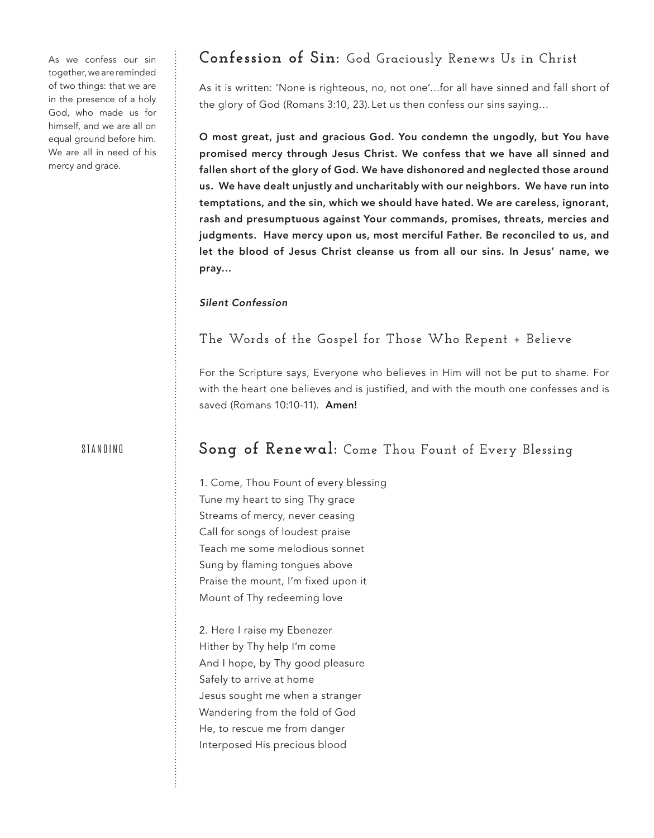As we confess our sin together, we are reminded of two things: that we are in the presence of a holy God, who made us for himself, and we are all on equal ground before him. We are all in need of his mercy and grace.

## **Confession of Sin: God Graciously Renews Us in Christ**

As it is written: 'None is righteous, no, not one'…for all have sinned and fall short of the glory of God (Romans 3:10, 23).Let us then confess our sins saying…

O most great, just and gracious God. You condemn the ungodly, but You have promised mercy through Jesus Christ. We confess that we have all sinned and fallen short of the glory of God. We have dishonored and neglected those around us. We have dealt unjustly and uncharitably with our neighbors. We have run into temptations, and the sin, which we should have hated. We are careless, ignorant, rash and presumptuous against Your commands, promises, threats, mercies and judgments. Have mercy upon us, most merciful Father. Be reconciled to us, and let the blood of Jesus Christ cleanse us from all our sins. In Jesus' name, we pray…

### *Silent Confession*

## **The Words of the Gospel for Those Who Repent + Believe**

For the Scripture says, Everyone who believes in Him will not be put to shame. For with the heart one believes and is justified, and with the mouth one confesses and is saved (Romans 10:10-11). Amen!

#### STANDING

## **Song of Renewal: Come Thou Fount of Every Blessing**

1. Come, Thou Fount of every blessing Tune my heart to sing Thy grace Streams of mercy, never ceasing Call for songs of loudest praise Teach me some melodious sonnet Sung by flaming tongues above Praise the mount, I'm fixed upon it Mount of Thy redeeming love

2. Here I raise my Ebenezer Hither by Thy help I'm come And I hope, by Thy good pleasure Safely to arrive at home Jesus sought me when a stranger Wandering from the fold of God He, to rescue me from danger Interposed His precious blood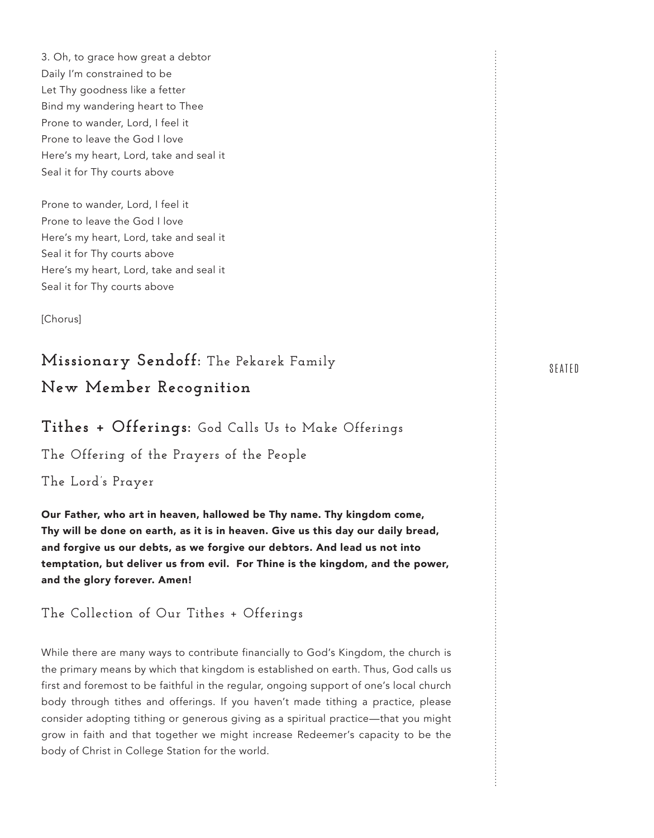3. Oh, to grace how great a debtor Daily I'm constrained to be Let Thy goodness like a fetter Bind my wandering heart to Thee Prone to wander, Lord, I feel it Prone to leave the God I love Here's my heart, Lord, take and seal it Seal it for Thy courts above

Prone to wander, Lord, I feel it Prone to leave the God I love Here's my heart, Lord, take and seal it Seal it for Thy courts above Here's my heart, Lord, take and seal it Seal it for Thy courts above

[Chorus]

# **Missionary Sendoff: The Pekarek Family New Member Recognition**

## **Tithes + Offerings: God Calls Us to Make Offerings**

**The Offering of the Prayers of the People**

**The Lord's Prayer**

Our Father, who art in heaven, hallowed be Thy name. Thy kingdom come, Thy will be done on earth, as it is in heaven. Give us this day our daily bread, and forgive us our debts, as we forgive our debtors. And lead us not into temptation, but deliver us from evil. For Thine is the kingdom, and the power, and the glory forever. Amen!

**The Collection of Our Tithes + Offerings**

While there are many ways to contribute financially to God's Kingdom, the church is the primary means by which that kingdom is established on earth. Thus, God calls us first and foremost to be faithful in the regular, ongoing support of one's local church body through tithes and offerings. If you haven't made tithing a practice, please consider adopting tithing or generous giving as a spiritual practice—that you might grow in faith and that together we might increase Redeemer's capacity to be the body of Christ in College Station for the world.

SEATED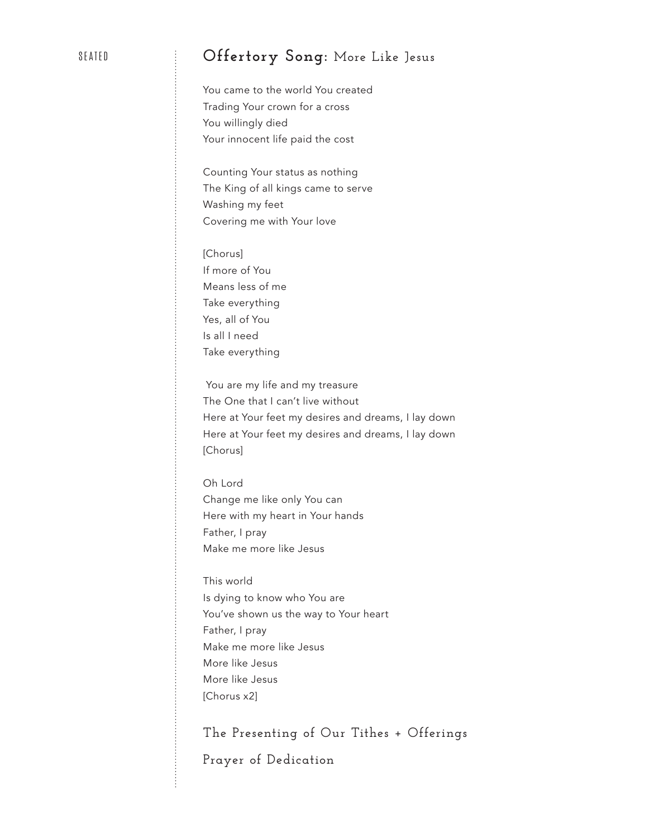## **Offertory Song: More Like Jesus**

You came to the world You created Trading Your crown for a cross You willingly died Your innocent life paid the cost

Counting Your status as nothing The King of all kings came to serve Washing my feet Covering me with Your love

[Chorus] If more of You Means less of me Take everything Yes, all of You Is all I need Take everything

 You are my life and my treasure The One that I can't live without Here at Your feet my desires and dreams, I lay down Here at Your feet my desires and dreams, I lay down [Chorus]

Oh Lord Change me like only You can Here with my heart in Your hands Father, I pray Make me more like Jesus

This world Is dying to know who You are You've shown us the way to Your heart Father, I pray Make me more like Jesus More like Jesus More like Jesus [Chorus x2]

### **The Presenting of Our Tithes + Offerings**

**Prayer of Dedication**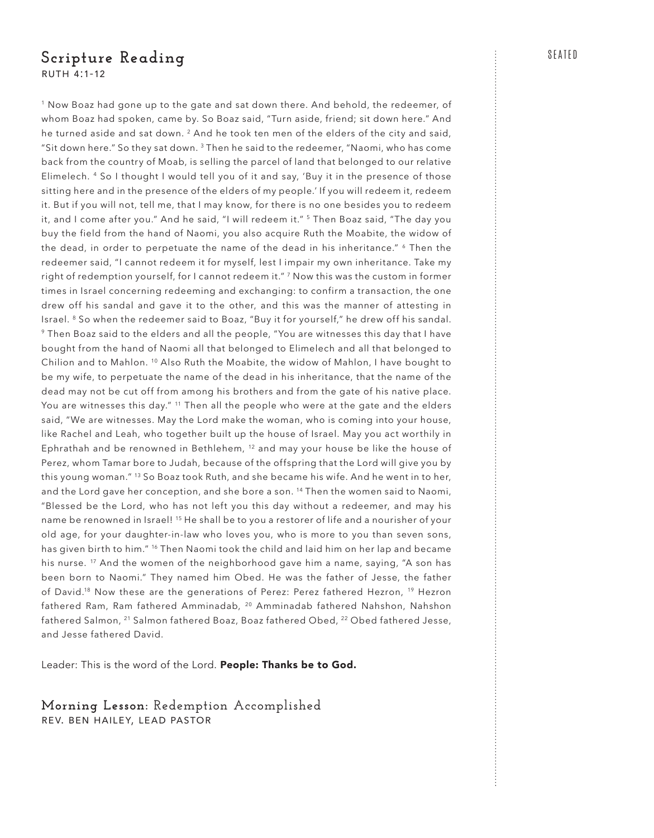### **Scripture Reading** ruth 4:1-12

<sup>1</sup> Now Boaz had gone up to the gate and sat down there. And behold, the redeemer, of whom Boaz had spoken, came by. So Boaz said, "Turn aside, friend; sit down here." And he turned aside and sat down.<sup>2</sup> And he took ten men of the elders of the city and said, "Sit down here." So they sat down.  $3$  Then he said to the redeemer, "Naomi, who has come back from the country of Moab, is selling the parcel of land that belonged to our relative Elimelech. 4 So I thought I would tell you of it and say, 'Buy it in the presence of those sitting here and in the presence of the elders of my people.' If you will redeem it, redeem it. But if you will not, tell me, that I may know, for there is no one besides you to redeem it, and I come after you." And he said, "I will redeem it." <sup>5</sup> Then Boaz said, "The day you buy the field from the hand of Naomi, you also acquire Ruth the Moabite, the widow of the dead, in order to perpetuate the name of the dead in his inheritance." <sup>6</sup> Then the redeemer said, "I cannot redeem it for myself, lest I impair my own inheritance. Take my right of redemption yourself, for I cannot redeem it." 7 Now this was the custom in former times in Israel concerning redeeming and exchanging: to confirm a transaction, the one drew off his sandal and gave it to the other, and this was the manner of attesting in Israel. <sup>8</sup> So when the redeemer said to Boaz, "Buy it for yourself," he drew off his sandal. <sup>9</sup> Then Boaz said to the elders and all the people, "You are witnesses this day that I have bought from the hand of Naomi all that belonged to Elimelech and all that belonged to Chilion and to Mahlon. <sup>10</sup> Also Ruth the Moabite, the widow of Mahlon, I have bought to be my wife, to perpetuate the name of the dead in his inheritance, that the name of the dead may not be cut off from among his brothers and from the gate of his native place. You are witnesses this day." <sup>11</sup> Then all the people who were at the gate and the elders said, "We are witnesses. May the Lord make the woman, who is coming into your house, like Rachel and Leah, who together built up the house of Israel. May you act worthily in Ephrathah and be renowned in Bethlehem,  $12$  and may your house be like the house of Perez, whom Tamar bore to Judah, because of the offspring that the Lord will give you by this young woman." <sup>13</sup> So Boaz took Ruth, and she became his wife. And he went in to her, and the Lord gave her conception, and she bore a son. <sup>14</sup> Then the women said to Naomi, "Blessed be the Lord, who has not left you this day without a redeemer, and may his name be renowned in Israel!<sup>15</sup> He shall be to you a restorer of life and a nourisher of your old age, for your daughter-in-law who loves you, who is more to you than seven sons, has given birth to him." <sup>16</sup> Then Naomi took the child and laid him on her lap and became his nurse. <sup>17</sup> And the women of the neighborhood gave him a name, saying, "A son has been born to Naomi." They named him Obed. He was the father of Jesse, the father of David.<sup>18</sup> Now these are the generations of Perez: Perez fathered Hezron, <sup>19</sup> Hezron fathered Ram, Ram fathered Amminadab, <sup>20</sup> Amminadab fathered Nahshon, Nahshon fathered Salmon, <sup>21</sup> Salmon fathered Boaz, Boaz fathered Obed, <sup>22</sup> Obed fathered Jesse, and Jesse fathered David.

Leader: This is the word of the Lord. People: Thanks be to God.

**Morning Lesson: Redemption Accomplished** rev. ben hailey, lead pastor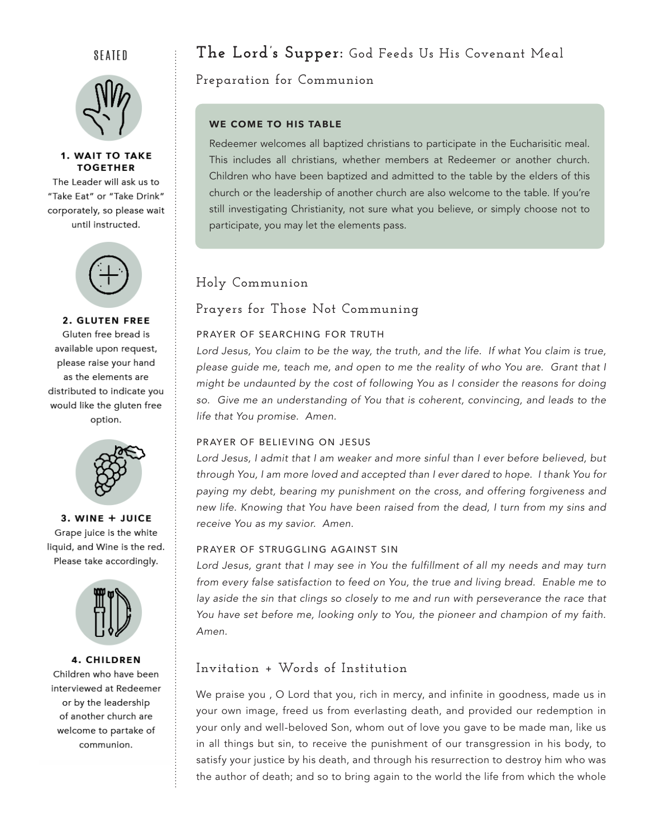### SEATED



#### **1. WAIT TO TAKE TOGETHER**

The Leader will ask us to "Take Eat" or "Take Drink" corporately, so please wait until instructed.



#### 2. GLUTEN FREE

Gluten free bread is available upon request, please raise your hand as the elements are distributed to indicate you would like the gluten free option.



3. WINE + JUICE Grape juice is the white liquid, and Wine is the red. Please take accordingly.



### 4. CHILDREN

Children who have been interviewed at Redeemer or by the leadership of another church are welcome to partake of communion.

## **The Lord's Supper: God Feeds Us His Covenant Meal**

**Preparation for Communion**

### **we come to his table**

Redeemer welcomes all baptized christians to participate in the Eucharisitic meal. This includes all christians, whether members at Redeemer or another church. Children who have been baptized and admitted to the table by the elders of this church or the leadership of another church are also welcome to the table. If you're still investigating Christianity, not sure what you believe, or simply choose not to participate, you may let the elements pass.

## **Holy Communion**

### **Prayers for Those Not Communing**

### prayer of searching for truth

*Lord Jesus, You claim to be the way, the truth, and the life. If what You claim is true, please guide me, teach me, and open to me the reality of who You are. Grant that I might be undaunted by the cost of following You as I consider the reasons for doing so. Give me an understanding of You that is coherent, convincing, and leads to the life that You promise. Amen.* 

### prayer of believing on jesus

*Lord Jesus, I admit that I am weaker and more sinful than I ever before believed, but through You, I am more loved and accepted than I ever dared to hope. I thank You for paying my debt, bearing my punishment on the cross, and offering forgiveness and new life. Knowing that You have been raised from the dead, I turn from my sins and receive You as my savior. Amen.* 

#### prayer of struggling against sin

*Lord Jesus, grant that I may see in You the fulfillment of all my needs and may turn from every false satisfaction to feed on You, the true and living bread. Enable me to lay aside the sin that clings so closely to me and run with perseverance the race that You have set before me, looking only to You, the pioneer and champion of my faith. Amen.* 

### **Invitation + Words of Institution**

We praise you , O Lord that you, rich in mercy, and infinite in goodness, made us in your own image, freed us from everlasting death, and provided our redemption in your only and well-beloved Son, whom out of love you gave to be made man, like us in all things but sin, to receive the punishment of our transgression in his body, to satisfy your justice by his death, and through his resurrection to destroy him who was the author of death; and so to bring again to the world the life from which the whole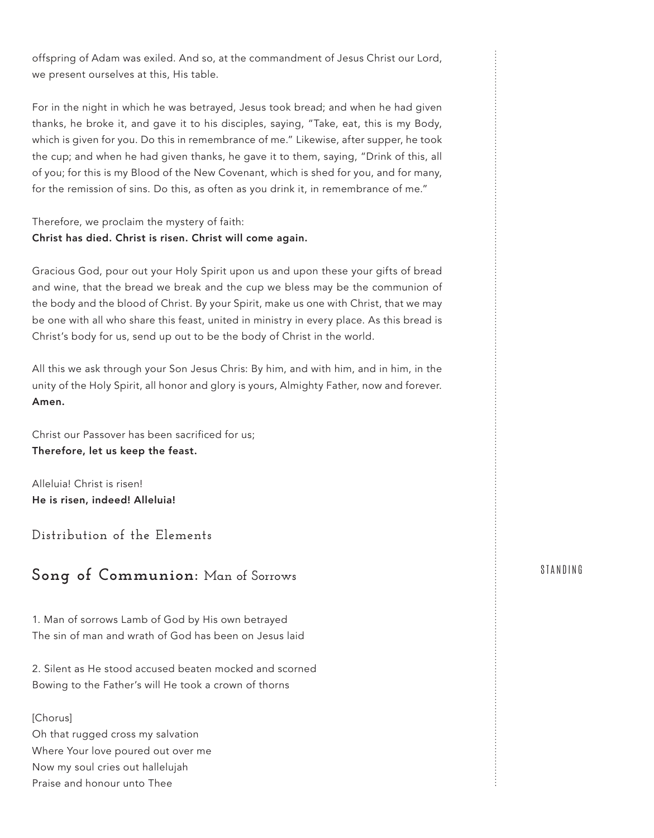offspring of Adam was exiled. And so, at the commandment of Jesus Christ our Lord, we present ourselves at this, His table.

For in the night in which he was betrayed, Jesus took bread; and when he had given thanks, he broke it, and gave it to his disciples, saying, "Take, eat, this is my Body, which is given for you. Do this in remembrance of me." Likewise, after supper, he took the cup; and when he had given thanks, he gave it to them, saying, "Drink of this, all of you; for this is my Blood of the New Covenant, which is shed for you, and for many, for the remission of sins. Do this, as often as you drink it, in remembrance of me."

### Therefore, we proclaim the mystery of faith: Christ has died. Christ is risen. Christ will come again.

Gracious God, pour out your Holy Spirit upon us and upon these your gifts of bread and wine, that the bread we break and the cup we bless may be the communion of the body and the blood of Christ. By your Spirit, make us one with Christ, that we may be one with all who share this feast, united in ministry in every place. As this bread is Christ's body for us, send up out to be the body of Christ in the world.

All this we ask through your Son Jesus Chris: By him, and with him, and in him, in the unity of the Holy Spirit, all honor and glory is yours, Almighty Father, now and forever. Amen.

Christ our Passover has been sacrificed for us; Therefore, let us keep the feast.

Alleluia! Christ is risen! He is risen, indeed! Alleluia!

**Distribution of the Elements**

## **Song of Communion: Man of Sorrows**

1. Man of sorrows Lamb of God by His own betrayed The sin of man and wrath of God has been on Jesus laid

2. Silent as He stood accused beaten mocked and scorned Bowing to the Father's will He took a crown of thorns

#### **[Chorus]**

Oh that rugged cross my salvation Where Your love poured out over me Now my soul cries out hallelujah Praise and honour unto Thee

### STANDING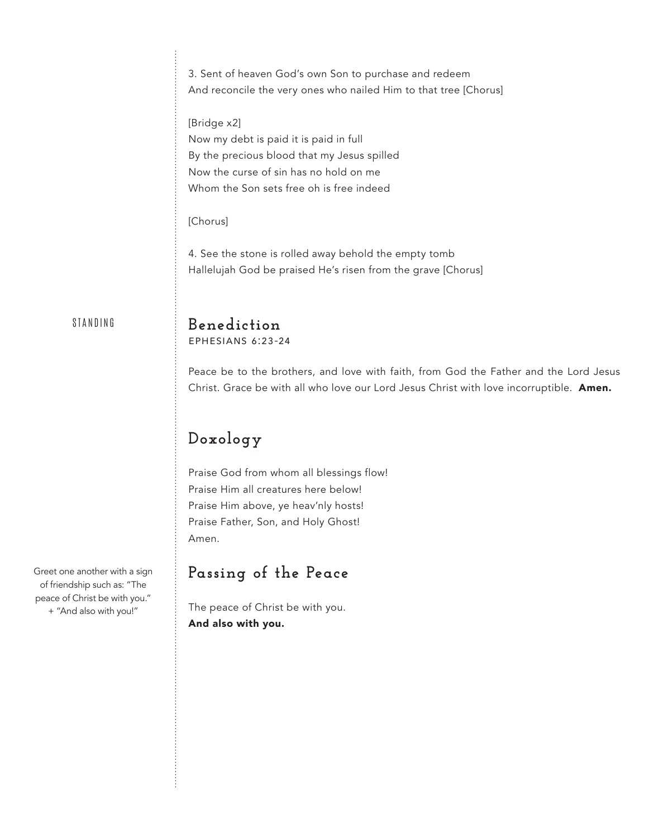3. Sent of heaven God's own Son to purchase and redeem And reconcile the very ones who nailed Him to that tree [Chorus]

[Bridge x2]

Now my debt is paid it is paid in full By the precious blood that my Jesus spilled Now the curse of sin has no hold on me Whom the Son sets free oh is free indeed

[Chorus]

4. See the stone is rolled away behold the empty tomb Hallelujah God be praised He's risen from the grave [Chorus]

#### STANDING

### **Benediction** ephesians 6:23-24

Peace be to the brothers, and love with faith, from God the Father and the Lord Jesus Christ. Grace be with all who love our Lord Jesus Christ with love incorruptible. Amen.

## **Doxology**

Praise God from whom all blessings flow! Praise Him all creatures here below! Praise Him above, ye heav'nly hosts! Praise Father, Son, and Holy Ghost! Amen.

## **Passing of the Peace**

The peace of Christ be with you. And also with you.

Greet one another with a sign of friendship such as: "The peace of Christ be with you." + "And also with you!"